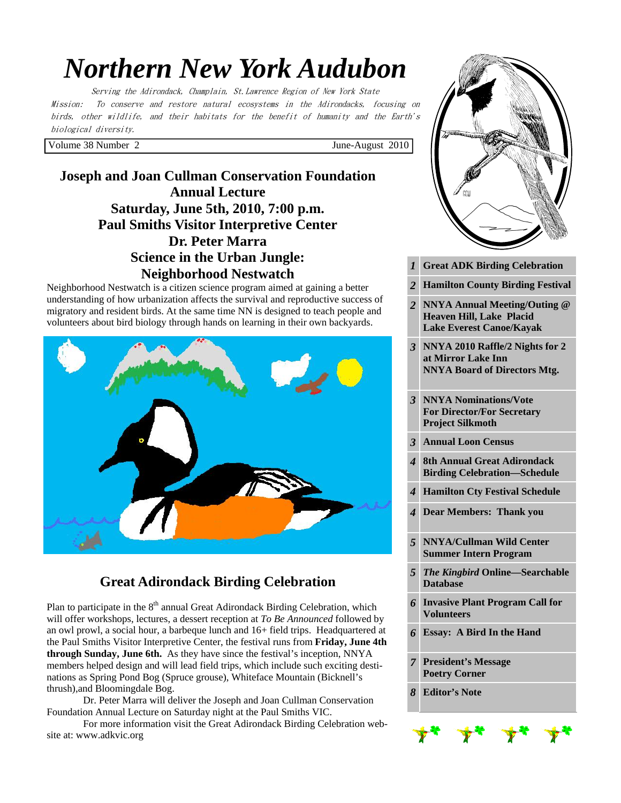# *Northern New York Audubon*

Serving the Adirondack, Champlain, St.Lawrence Region of New York State Mission: To conserve and restore natural ecosystems in the Adirondacks, focusing on birds, other wildlife, and their habitats for the benefit of humanity and the Earth's biological diversity.

Volume 38 Number 2 June-August 2010

**Joseph and Joan Cullman Conservation Foundation Annual Lecture Saturday, June 5th, 2010, 7:00 p.m. Paul Smiths Visitor Interpretive Center Dr. Peter Marra Science in the Urban Jungle: Neighborhood Nestwatch** 

Neighborhood Nestwatch is a citizen science program aimed at gaining a better understanding of how urbanization affects the survival and reproductive success of migratory and resident birds. At the same time NN is designed to teach people and volunteers about bird biology through hands on learning in their own backyards.



# **Great Adirondack Birding Celebration**

Plan to participate in the  $8<sup>th</sup>$  annual Great Adirondack Birding Celebration, which will offer workshops, lectures, a dessert reception at *To Be Announced* followed by an owl prowl, a social hour, a barbeque lunch and 16+ field trips. Headquartered at the Paul Smiths Visitor Interpretive Center, the festival runs from **Friday, June 4th through Sunday, June 6th.** As they have since the festival's inception, NNYA members helped design and will lead field trips, which include such exciting destinations as Spring Pond Bog (Spruce grouse), Whiteface Mountain (Bicknell's thrush),and Bloomingdale Bog.

 Dr. Peter Marra will deliver the Joseph and Joan Cullman Conservation Foundation Annual Lecture on Saturday night at the Paul Smiths VIC.

For more information visit the Great Adirondack Birding Celebration website at: www.adkvic.org

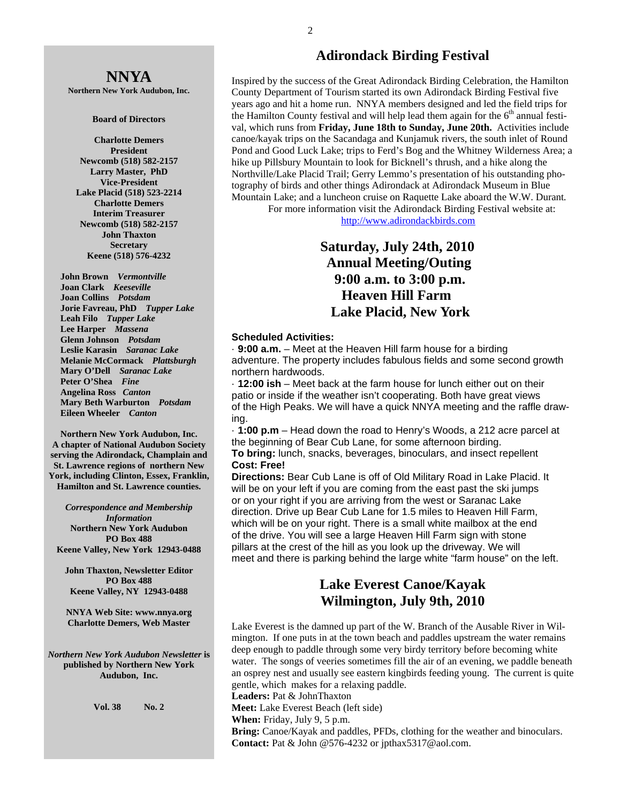# **NNYA**

**Northern New York Audubon, Inc.** 

#### **Board of Directors**

**Charlotte Demers President Newcomb (518) 582-2157 Larry Master, PhD Vice-President Lake Placid (518) 523-2214 Charlotte Demers Interim Treasurer Newcomb (518) 582-2157 John Thaxton Secretary Keene (518) 576-4232** 

 **John Brown** *Vermontville*  **Joan Clark** *Keeseville*  **Joan Collins** *Potsdam*   **Jorie Favreau, PhD** *Tupper Lake*  **Leah Filo** *Tupper Lake*  **Lee Harper** *Massena*   **Glenn Johnson** *Potsdam*   **Leslie Karasin** *Saranac Lake*  **Melanie McCormack** *Plattsburgh*   **Mary O'Dell** *Saranac Lake*  **Peter O'Shea** *Fine*   **Angelina Ross** *Canton*   **Mary Beth Warburton** *Potsdam*   **Eileen Wheeler** *Canton* 

**Northern New York Audubon, Inc. A chapter of National Audubon Society serving the Adirondack, Champlain and St. Lawrence regions of northern New York, including Clinton, Essex, Franklin, Hamilton and St. Lawrence counties.** 

*Correspondence and Membership Information* **Northern New York Audubon PO Box 488 Keene Valley, New York 12943-0488** 

**John Thaxton, Newsletter Editor PO Box 488 Keene Valley, NY 12943-0488** 

**NNYA Web Site: www.nnya.org Charlotte Demers, Web Master** 

*Northern New York Audubon Newsletter* **is published by Northern New York Audubon, Inc.** 

**Vol. 38 No. 2** 

#### **Adirondack Birding Festival**

Inspired by the success of the Great Adirondack Birding Celebration, the Hamilton County Department of Tourism started its own Adirondack Birding Festival five years ago and hit a home run. NNYA members designed and led the field trips for the Hamilton County festival and will help lead them again for the  $6<sup>th</sup>$  annual festival, which runs from **Friday, June 18th to Sunday, June 20th.** Activities include canoe/kayak trips on the Sacandaga and Kunjamuk rivers, the south inlet of Round Pond and Good Luck Lake; trips to Ferd's Bog and the Whitney Wilderness Area; a hike up Pillsbury Mountain to look for Bicknell's thrush, and a hike along the Northville/Lake Placid Trail; Gerry Lemmo's presentation of his outstanding photography of birds and other things Adirondack at Adirondack Museum in Blue Mountain Lake; and a luncheon cruise on Raquette Lake aboard the W.W. Durant*.*

 For more information visit the Adirondack Birding Festival website at: http://www.adirondackbirds.com

# **Saturday, July 24th, 2010 Annual Meeting/Outing 9:00 a.m. to 3:00 p.m. Heaven Hill Farm Lake Placid, New York**

#### **Scheduled Activities:**

· **9:00 a.m.** – Meet at the Heaven Hill farm house for a birding adventure. The property includes fabulous fields and some second growth northern hardwoods.

· **12:00 ish** – Meet back at the farm house for lunch either out on their patio or inside if the weather isn't cooperating. Both have great views of the High Peaks. We will have a quick NNYA meeting and the raffle drawing.

· **1:00 p.m** – Head down the road to Henry's Woods, a 212 acre parcel at the beginning of Bear Cub Lane, for some afternoon birding.

**To bring:** lunch, snacks, beverages, binoculars, and insect repellent **Cost: Free!** 

**Directions:** Bear Cub Lane is off of Old Military Road in Lake Placid. It will be on your left if you are coming from the east past the ski jumps or on your right if you are arriving from the west or Saranac Lake direction. Drive up Bear Cub Lane for 1.5 miles to Heaven Hill Farm, which will be on your right. There is a small white mailbox at the end of the drive. You will see a large Heaven Hill Farm sign with stone pillars at the crest of the hill as you look up the driveway. We will meet and there is parking behind the large white "farm house" on the left.

# **Lake Everest Canoe/Kayak Wilmington, July 9th, 2010**

Lake Everest is the damned up part of the W. Branch of the Ausable River in Wilmington. If one puts in at the town beach and paddles upstream the water remains deep enough to paddle through some very birdy territory before becoming white water. The songs of veeries sometimes fill the air of an evening, we paddle beneath an osprey nest and usually see eastern kingbirds feeding young. The current is quite gentle, which makes for a relaxing paddle.

**Leaders:** Pat & JohnThaxton

**Meet:** Lake Everest Beach (left side)

**When:** Friday, July 9, 5 p.m.

**Bring:** Canoe/Kayak and paddles, PFDs, clothing for the weather and binoculars. **Contact:** Pat & John @576-4232 or jpthax5317@aol.com.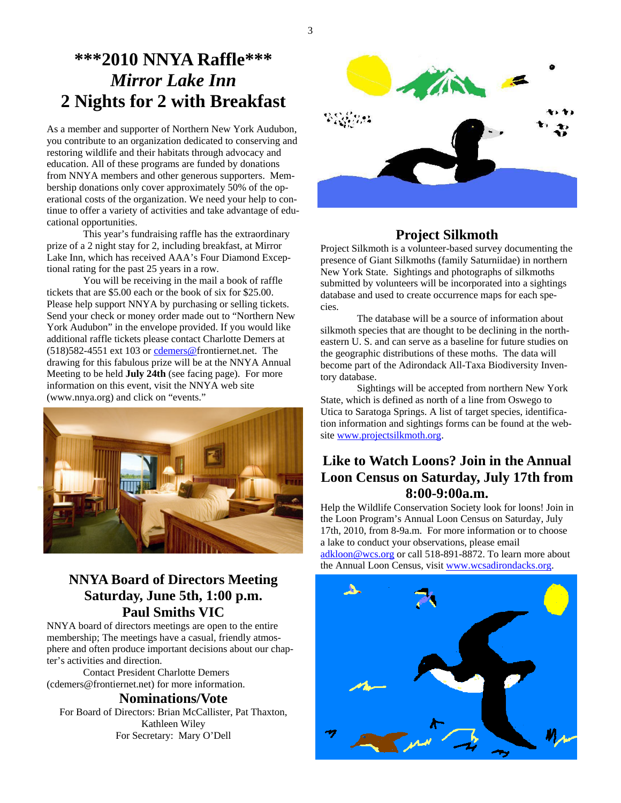# **\*\*\*2010 NNYA Raffle\*\*\***  *Mirror Lake Inn*  **2 Nights for 2 with Breakfast**

As a member and supporter of Northern New York Audubon, you contribute to an organization dedicated to conserving and restoring wildlife and their habitats through advocacy and education. All of these programs are funded by donations from NNYA members and other generous supporters. Membership donations only cover approximately 50% of the operational costs of the organization. We need your help to continue to offer a variety of activities and take advantage of educational opportunities.

 This year's fundraising raffle has the extraordinary prize of a 2 night stay for 2, including breakfast, at Mirror Lake Inn, which has received AAA's Four Diamond Exceptional rating for the past 25 years in a row.

 You will be receiving in the mail a book of raffle tickets that are \$5.00 each or the book of six for \$25.00. Please help support NNYA by purchasing or selling tickets. Send your check or money order made out to "Northern New York Audubon" in the envelope provided. If you would like additional raffle tickets please contact Charlotte Demers at (518)582-4551 ext 103 or cdemers@frontiernet.net. The drawing for this fabulous prize will be at the NNYA Annual Meeting to be held **July 24th** (see facing page). For more information on this event, visit the NNYA web site (www.nnya.org) and click on "events."



# **NNYA Board of Directors Meeting Saturday, June 5th, 1:00 p.m. Paul Smiths VIC**

NNYA board of directors meetings are open to the entire membership; The meetings have a casual, friendly atmosphere and often produce important decisions about our chapter's activities and direction.

 Contact President Charlotte Demers (cdemers@frontiernet.net) for more information.

#### **Nominations/Vote**

For Board of Directors: Brian McCallister, Pat Thaxton, Kathleen Wiley For Secretary: Mary O'Dell



# **Project Silkmoth**

Project Silkmoth is a volunteer-based survey documenting the presence of Giant Silkmoths (family Saturniidae) in northern New York State. Sightings and photographs of silkmoths submitted by volunteers will be incorporated into a sightings database and used to create occurrence maps for each species.

 The database will be a source of information about silkmoth species that are thought to be declining in the northeastern U. S. and can serve as a baseline for future studies on the geographic distributions of these moths. The data will become part of the Adirondack All-Taxa Biodiversity Inventory database.

 Sightings will be accepted from northern New York State, which is defined as north of a line from Oswego to Utica to Saratoga Springs. A list of target species, identification information and sightings forms can be found at the website www.projectsilkmoth.org.

# **Like to Watch Loons? Join in the Annual Loon Census on Saturday, July 17th from 8:00-9:00a.m.**

Help the Wildlife Conservation Society look for loons! Join in the Loon Program's Annual Loon Census on Saturday, July 17th, 2010, from 8-9a.m. For more information or to choose a lake to conduct your observations, please email adkloon@wcs.org or call 518-891-8872. To learn more about the Annual Loon Census, visit www.wcsadirondacks.org.



3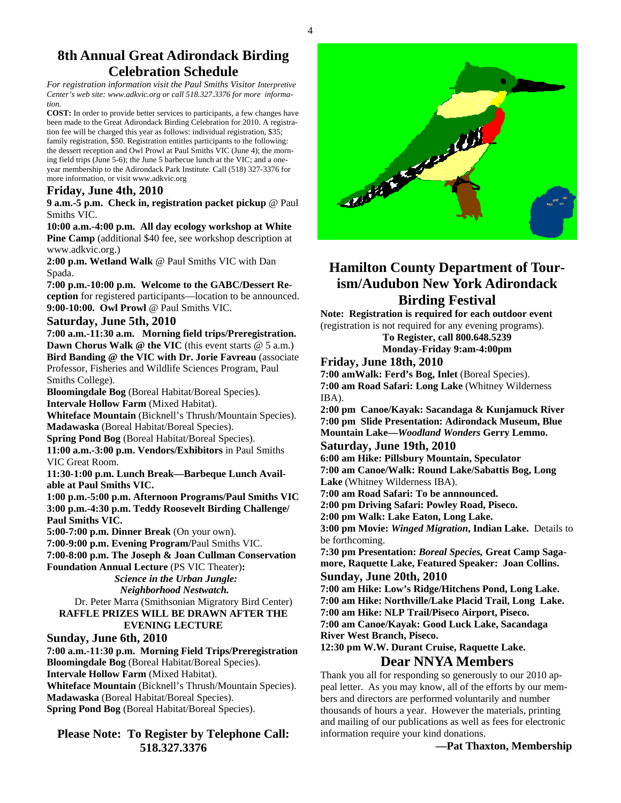## **8th Annual Great Adirondack Birding Celebration Schedule**

*For registration information visit the Paul Smiths Visitor Interpretive Center's web site: www.adkvic.org or call 518.327.3376 for more information.* 

**COST:** In order to provide better services to participants, a few changes have been made to the Great Adirondack Birding Celebration for 2010. A registration fee will be charged this year as follows: individual registration, \$35; family registration, \$50. Registration entitles participants to the following: the dessert reception and Owl Prowl at Paul Smiths VIC (June 4); the morning field trips (June 5-6); the June 5 barbecue lunch at the VIC; and a oneyear membership to the Adirondack Park Institute. Call (518) 327-3376 for more information, or visit www.adkvic.org

#### **Friday, June 4th, 2010**

**9 a.m.-5 p.m. Check in, registration packet pickup** @ Paul Smiths VIC.

#### **10:00 a.m.-4:00 p.m. All day ecology workshop at White**

**Pine Camp** (additional \$40 fee, see workshop description at www.adkvic.org.)

**2:00 p.m. Wetland Walk** @ Paul Smiths VIC with Dan Spada.

**7:00 p.m.-10:00 p.m. Welcome to the GABC/Dessert Reception** for registered participants—location to be announced. **9:00-10:00. Owl Prowl** @ Paul Smiths VIC.

#### **Saturday, June 5th, 2010**

**7:00 a.m.-11:30 a.m. Morning field trips/Preregistration. Dawn Chorus Walk @ the VIC** (this event starts @ 5 a.m.) **Bird Banding @ the VIC with Dr. Jorie Favreau** (associate Professor, Fisheries and Wildlife Sciences Program, Paul Smiths College).

**Bloomingdale Bog** (Boreal Habitat/Boreal Species). **Intervale Hollow Farm** (Mixed Habitat).

**Whiteface Mountain** (Bicknell's Thrush/Mountain Species). **Madawaska** (Boreal Habitat/Boreal Species).

**Spring Pond Bog** (Boreal Habitat/Boreal Species).

**11:00 a.m.-3:00 p.m. Vendors/Exhibitors** in Paul Smiths VIC Great Room.

**11:30-1:00 p.m. Lunch Break—Barbeque Lunch Available at Paul Smiths VIC.** 

**1:00 p.m.-5:00 p.m. Afternoon Programs/Paul Smiths VIC 3:00 p.m.-4:30 p.m. Teddy Roosevelt Birding Challenge/ Paul Smiths VIC.** 

**5:00-7:00 p.m. Dinner Break** (On your own).

**7:00-9:00 p.m. Evening Program/**Paul Smiths VIC.

**7:00-8:00 p.m. The Joseph & Joan Cullman Conservation** 

**Foundation Annual Lecture** (PS VIC Theater)**:**   *Science in the Urban Jungle: Neighborhood Nestwatch.*

 Dr. Peter Marra (Smithsonian Migratory Bird Center) **RAFFLE PRIZES WILL BE DRAWN AFTER THE EVENING LECTURE**

#### **Sunday, June 6th, 2010**

**7:00 a.m.-11:30 p.m. Morning Field Trips/Preregistration Bloomingdale Bog** (Boreal Habitat/Boreal Species). **Intervale Hollow Farm** (Mixed Habitat). **Whiteface Mountain** (Bicknell's Thrush/Mountain Species). **Madawaska** (Boreal Habitat/Boreal Species). **Spring Pond Bog** (Boreal Habitat/Boreal Species).

**Please Note: To Register by Telephone Call: 518.327.3376** 



# **Hamilton County Department of Tourism/Audubon New York Adirondack Birding Festival**

**Note: Registration is required for each outdoor event**  (registration is not required for any evening programs).

> **To Register, call 800.648.5239 Monday-Friday 9:am-4:00pm**

#### **Friday, June 18th, 2010**

**7:00 amWalk: Ferd's Bog, Inlet** (Boreal Species). **7:00 am Road Safari: Long Lake** (Whitney Wilderness IBA).

**2:00 pm Canoe/Kayak: Sacandaga & Kunjamuck River 7:00 pm Slide Presentation: Adirondack Museum, Blue Mountain Lake—***Woodland Wonders* **Gerry Lemmo.** 

#### **Saturday, June 19th, 2010**

**6:00 am Hike: Pillsbury Mountain, Speculator 7:00 am Canoe/Walk: Round Lake/Sabattis Bog, Long Lake** (Whitney Wilderness IBA).

**7:00 am Road Safari: To be annnounced.** 

**2:00 pm Driving Safari: Powley Road, Piseco.** 

**2:00 pm Walk: Lake Eaton, Long Lake.** 

**3:00 pm Movie:** *Winged Migration***, Indian Lake.** Details to be forthcoming.

**7:30 pm Presentation:** *Boreal Species,* **Great Camp Sagamore, Raquette Lake, Featured Speaker: Joan Collins.** 

#### **Sunday, June 20th, 2010**

**7:00 am Hike: Low's Ridge/Hitchens Pond, Long Lake. 7:00 am Hike: Northville/Lake Placid Trail, Long Lake. 7:00 am Hike: NLP Trail/Piseco Airport, Piseco. 7:00 am Canoe/Kayak: Good Luck Lake, Sacandaga River West Branch, Piseco.** 

**12:30 pm W.W. Durant Cruise, Raquette Lake.** 

### **Dear NNYA Members**

Thank you all for responding so generously to our 2010 appeal letter. As you may know, all of the efforts by our members and directors are performed voluntarily and number thousands of hours a year. However the materials, printing and mailing of our publications as well as fees for electronic information require your kind donations.

**—Pat Thaxton, Membership**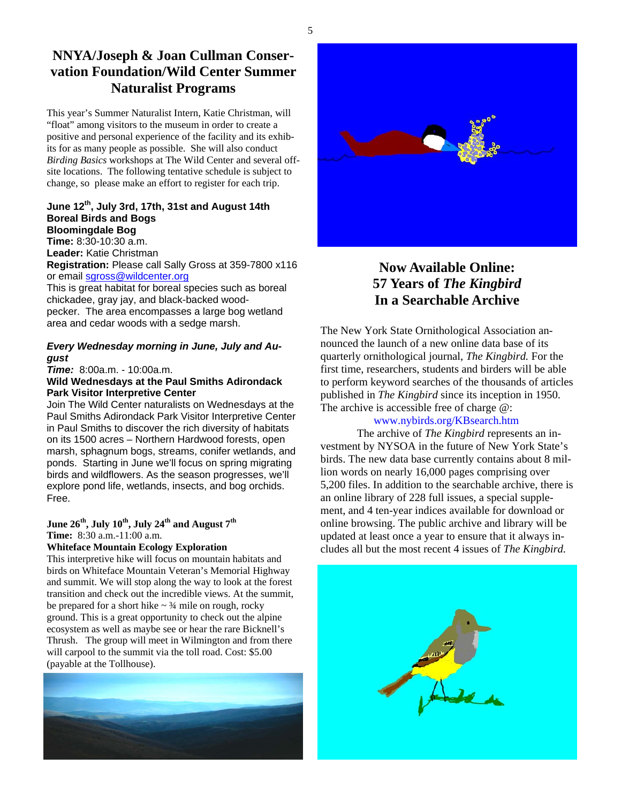# **NNYA/Joseph & Joan Cullman Conservation Foundation/Wild Center Summer Naturalist Programs**

This year's Summer Naturalist Intern, Katie Christman, will "float" among visitors to the museum in order to create a positive and personal experience of the facility and its exhibits for as many people as possible. She will also conduct *Birding Basics* workshops at The Wild Center and several offsite locations. The following tentative schedule is subject to change, so please make an effort to register for each trip.

#### **June 12th, July 3rd, 17th, 31st and August 14th Boreal Birds and Bogs Bloomingdale Bog**

**Time:** 8:30-10:30 a.m. **Leader:** Katie Christman **Registration:** Please call Sally Gross at 359-7800 x116 or email sgross@wildcenter.org

This is great habitat for boreal species such as boreal chickadee, gray jay, and black-backed woodpecker. The area encompasses a large bog wetland area and cedar woods with a sedge marsh.

#### *Every Wednesday morning in June, July and August*

*Time:* 8:00a.m. - 10:00a.m.

#### **Wild Wednesdays at the Paul Smiths Adirondack Park Visitor Interpretive Center**

Join The Wild Center naturalists on Wednesdays at the Paul Smiths Adirondack Park Visitor Interpretive Center in Paul Smiths to discover the rich diversity of habitats on its 1500 acres – Northern Hardwood forests, open marsh, sphagnum bogs, streams, conifer wetlands, and ponds. Starting in June we'll focus on spring migrating birds and wildflowers. As the season progresses, we'll explore pond life, wetlands, insects, and bog orchids. Free.

#### June 26<sup>th</sup>, July 10<sup>th</sup>, July 24<sup>th</sup> and August 7<sup>th</sup> **Time:** 8:30 a.m.-11:00 a.m.

#### **Whiteface Mountain Ecology Exploration**

This interpretive hike will focus on mountain habitats and birds on Whiteface Mountain Veteran's Memorial Highway and summit. We will stop along the way to look at the forest transition and check out the incredible views. At the summit, be prepared for a short hike  $\sim \frac{3}{4}$  mile on rough, rocky ground. This is a great opportunity to check out the alpine ecosystem as well as maybe see or hear the rare Bicknell's Thrush. The group will meet in Wilmington and from there will carpool to the summit via the toll road. Cost: \$5.00 (payable at the Tollhouse).





# **Now Available Online: 57 Years of** *The Kingbird*  **In a Searchable Archive**

The New York State Ornithological Association announced the launch of a new online data base of its quarterly ornithological journal, *The Kingbird.* For the first time, researchers, students and birders will be able to perform keyword searches of the thousands of articles published in *The Kingbird* since its inception in 1950. The archive is accessible free of charge @:

#### www.nybirds.org/KBsearch.htm

 The archive of *The Kingbird* represents an investment by NYSOA in the future of New York State's birds. The new data base currently contains about 8 million words on nearly 16,000 pages comprising over 5,200 files. In addition to the searchable archive, there is an online library of 228 full issues, a special supplement, and 4 ten-year indices available for download or online browsing. The public archive and library will be updated at least once a year to ensure that it always includes all but the most recent 4 issues of *The Kingbird.*

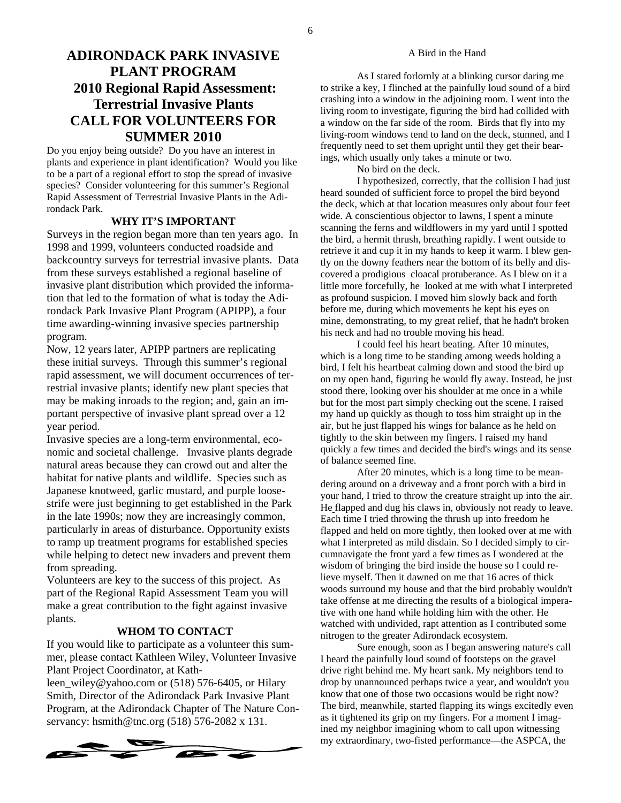# **ADIRONDACK PARK INVASIVE PLANT PROGRAM 2010 Regional Rapid Assessment: Terrestrial Invasive Plants CALL FOR VOLUNTEERS FOR SUMMER 2010**

Do you enjoy being outside? Do you have an interest in plants and experience in plant identification? Would you like to be a part of a regional effort to stop the spread of invasive species? Consider volunteering for this summer's Regional Rapid Assessment of Terrestrial Invasive Plants in the Adirondack Park.

#### **WHY IT'S IMPORTANT**

Surveys in the region began more than ten years ago. In 1998 and 1999, volunteers conducted roadside and backcountry surveys for terrestrial invasive plants. Data from these surveys established a regional baseline of invasive plant distribution which provided the information that led to the formation of what is today the Adirondack Park Invasive Plant Program (APIPP), a four time awarding-winning invasive species partnership program.

Now, 12 years later, APIPP partners are replicating these initial surveys. Through this summer's regional rapid assessment, we will document occurrences of terrestrial invasive plants; identify new plant species that may be making inroads to the region; and, gain an important perspective of invasive plant spread over a 12 year period.

Invasive species are a long-term environmental, economic and societal challenge. Invasive plants degrade natural areas because they can crowd out and alter the habitat for native plants and wildlife. Species such as Japanese knotweed, garlic mustard, and purple loosestrife were just beginning to get established in the Park in the late 1990s; now they are increasingly common, particularly in areas of disturbance. Opportunity exists to ramp up treatment programs for established species while helping to detect new invaders and prevent them from spreading.

Volunteers are key to the success of this project. As part of the Regional Rapid Assessment Team you will make a great contribution to the fight against invasive plants.

#### **WHOM TO CONTACT**

If you would like to participate as a volunteer this summer, please contact Kathleen Wiley, Volunteer Invasive Plant Project Coordinator, at Kath-

leen\_wiley@yahoo.com or (518) 576-6405, or Hilary Smith, Director of the Adirondack Park Invasive Plant Program, at the Adirondack Chapter of The Nature Conservancy: hsmith@tnc.org (518) 576-2082 x 131.



#### A Bird in the Hand

As I stared forlornly at a blinking cursor daring me to strike a key, I flinched at the painfully loud sound of a bird crashing into a window in the adjoining room. I went into the living room to investigate, figuring the bird had collided with a window on the far side of the room. Birds that fly into my living-room windows tend to land on the deck, stunned, and I frequently need to set them upright until they get their bearings, which usually only takes a minute or two.

No bird on the deck.

 I hypothesized, correctly, that the collision I had just heard sounded of sufficient force to propel the bird beyond the deck, which at that location measures only about four feet wide. A conscientious objector to lawns, I spent a minute scanning the ferns and wildflowers in my yard until I spotted the bird, a hermit thrush, breathing rapidly. I went outside to retrieve it and cup it in my hands to keep it warm. I blew gently on the downy feathers near the bottom of its belly and discovered a prodigious cloacal protuberance. As I blew on it a little more forcefully, he looked at me with what I interpreted as profound suspicion. I moved him slowly back and forth before me, during which movements he kept his eyes on mine, demonstrating, to my great relief, that he hadn't broken his neck and had no trouble moving his head.

 I could feel his heart beating. After 10 minutes, which is a long time to be standing among weeds holding a bird, I felt his heartbeat calming down and stood the bird up on my open hand, figuring he would fly away. Instead, he just stood there, looking over his shoulder at me once in a while but for the most part simply checking out the scene. I raised my hand up quickly as though to toss him straight up in the air, but he just flapped his wings for balance as he held on tightly to the skin between my fingers. I raised my hand quickly a few times and decided the bird's wings and its sense of balance seemed fine.

 After 20 minutes, which is a long time to be meandering around on a driveway and a front porch with a bird in your hand, I tried to throw the creature straight up into the air. He flapped and dug his claws in, obviously not ready to leave. Each time I tried throwing the thrush up into freedom he flapped and held on more tightly, then looked over at me with what I interpreted as mild disdain. So I decided simply to circumnavigate the front yard a few times as I wondered at the wisdom of bringing the bird inside the house so I could relieve myself. Then it dawned on me that 16 acres of thick woods surround my house and that the bird probably wouldn't take offense at me directing the results of a biological imperative with one hand while holding him with the other. He watched with undivided, rapt attention as I contributed some nitrogen to the greater Adirondack ecosystem.

 Sure enough, soon as I began answering nature's call I heard the painfully loud sound of footsteps on the gravel drive right behind me. My heart sank. My neighbors tend to drop by unannounced perhaps twice a year, and wouldn't you know that one of those two occasions would be right now? The bird, meanwhile, started flapping its wings excitedly even as it tightened its grip on my fingers. For a moment I imagined my neighbor imagining whom to call upon witnessing my extraordinary, two-fisted performance—the ASPCA, the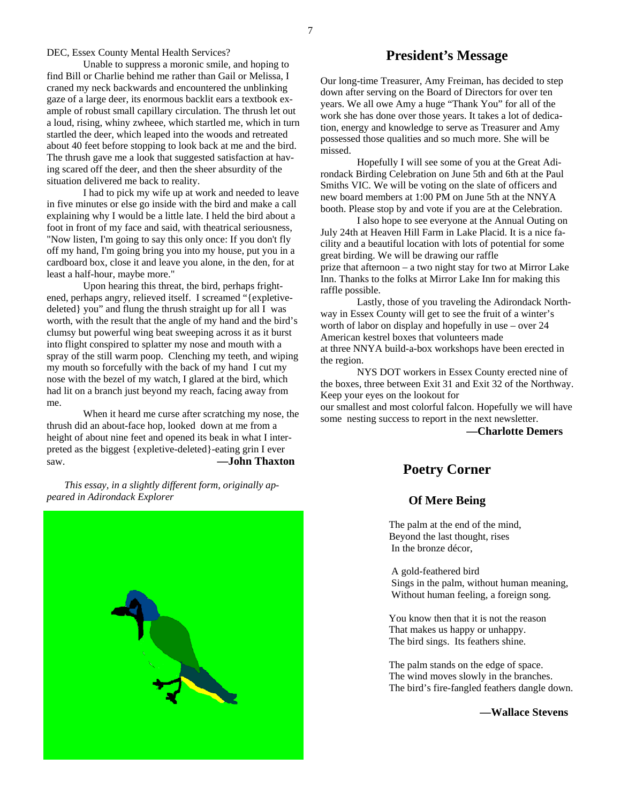DEC, Essex County Mental Health Services?

Unable to suppress a moronic smile, and hoping to find Bill or Charlie behind me rather than Gail or Melissa, I craned my neck backwards and encountered the unblinking gaze of a large deer, its enormous backlit ears a textbook example of robust small capillary circulation. The thrush let out a loud, rising, whiny zwheee, which startled me, which in turn startled the deer, which leaped into the woods and retreated about 40 feet before stopping to look back at me and the bird. The thrush gave me a look that suggested satisfaction at having scared off the deer, and then the sheer absurdity of the situation delivered me back to reality.

I had to pick my wife up at work and needed to leave in five minutes or else go inside with the bird and make a call explaining why I would be a little late. I held the bird about a foot in front of my face and said, with theatrical seriousness, "Now listen, I'm going to say this only once: If you don't fly off my hand, I'm going bring you into my house, put you in a cardboard box, close it and leave you alone, in the den, for at least a half-hour, maybe more."

Upon hearing this threat, the bird, perhaps frightened, perhaps angry, relieved itself. I screamed "{expletivedeleted} you" and flung the thrush straight up for all I was worth, with the result that the angle of my hand and the bird's clumsy but powerful wing beat sweeping across it as it burst into flight conspired to splatter my nose and mouth with a spray of the still warm poop. Clenching my teeth, and wiping my mouth so forcefully with the back of my hand I cut my nose with the bezel of my watch, I glared at the bird, which had lit on a branch just beyond my reach, facing away from me.

When it heard me curse after scratching my nose, the thrush did an about-face hop, looked down at me from a height of about nine feet and opened its beak in what I interpreted as the biggest {expletive-deleted}-eating grin I ever saw. **—John Thaxton** 

 *This essay, in a slightly different form, originally appeared in Adirondack Explorer* 



#### **President's Message**

Our long-time Treasurer, Amy Freiman, has decided to step down after serving on the Board of Directors for over ten years. We all owe Amy a huge "Thank You" for all of the work she has done over those years. It takes a lot of dedication, energy and knowledge to serve as Treasurer and Amy possessed those qualities and so much more. She will be missed.

 Hopefully I will see some of you at the Great Adirondack Birding Celebration on June 5th and 6th at the Paul Smiths VIC. We will be voting on the slate of officers and new board members at 1:00 PM on June 5th at the NNYA booth. Please stop by and vote if you are at the Celebration.

 I also hope to see everyone at the Annual Outing on July 24th at Heaven Hill Farm in Lake Placid. It is a nice facility and a beautiful location with lots of potential for some great birding. We will be drawing our raffle prize that afternoon – a two night stay for two at Mirror Lake Inn. Thanks to the folks at Mirror Lake Inn for making this raffle possible.

 Lastly, those of you traveling the Adirondack Northway in Essex County will get to see the fruit of a winter's worth of labor on display and hopefully in use – over 24 American kestrel boxes that volunteers made at three NNYA build-a-box workshops have been erected in the region.

 NYS DOT workers in Essex County erected nine of the boxes, three between Exit 31 and Exit 32 of the Northway. Keep your eyes on the lookout for

our smallest and most colorful falcon. Hopefully we will have some nesting success to report in the next newsletter.

**—Charlotte Demers**

#### **Poetry Corner**

#### **Of Mere Being**

 The palm at the end of the mind, Beyond the last thought, rises In the bronze décor,

 A gold-feathered bird Sings in the palm, without human meaning, Without human feeling, a foreign song.

 You know then that it is not the reason That makes us happy or unhappy. The bird sings. Its feathers shine.

 The palm stands on the edge of space. The wind moves slowly in the branches. The bird's fire-fangled feathers dangle down.

**—Wallace Stevens**